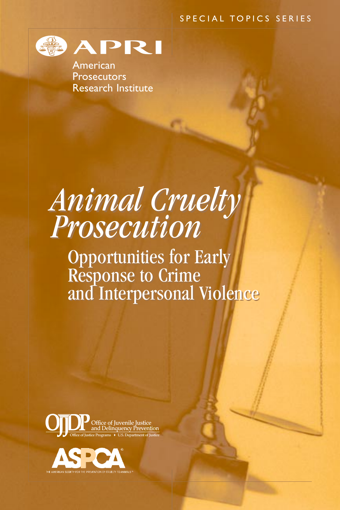#### SPECIAL TOPICS SERIES



American **Prosecutors** Research Institute

# *Animal Cruelty Prosecution Animal Cruelty Prosecution*

Opportunities for Early Response to Crime and Interpersonal Violence Opportunities for Early Response to Crime and Interpersonal Violence



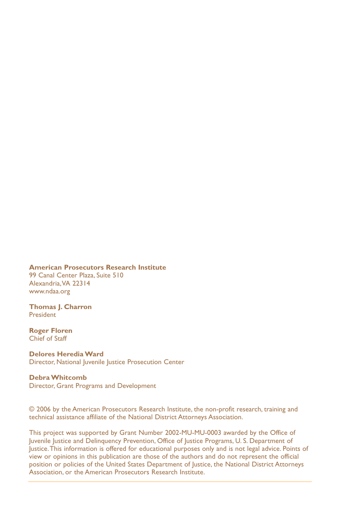#### **American Prosecutors Research Institute**

99 Canal Center Plaza, Suite 510 Alexandria,VA 22314 www.ndaa.org

**Thomas J. Charron** President

**Roger Floren** Chief of Staff

**Delores Heredia Ward** Director, National Juvenile Justice Prosecution Center

**Debra Whitcomb** Director, Grant Programs and Development

© 2006 by the American Prosecutors Research Institute, the non-profit research, training and technical assistance affiliate of the National District Attorneys Association.

This project was supported by Grant Number 2002-MU-MU-0003 awarded by the Office of Juvenile Justice and Delinquency Prevention, Office of Justice Programs, U. S. Department of Justice.This information is offered for educational purposes only and is not legal advice. Points of view or opinions in this publication are those of the authors and do not represent the official position or policies of the United States Department of Justice, the National District Attorneys Association, or the American Prosecutors Research Institute.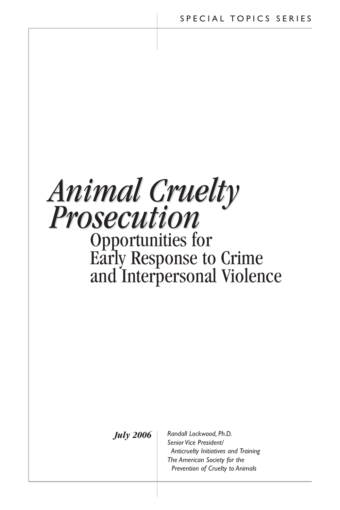

*July 2006*

*Randall Lockwood, Ph.D. Senior Vice President/ Anticruelty Initiatives and Training The American Society for the Prevention of Cruelty to Animals*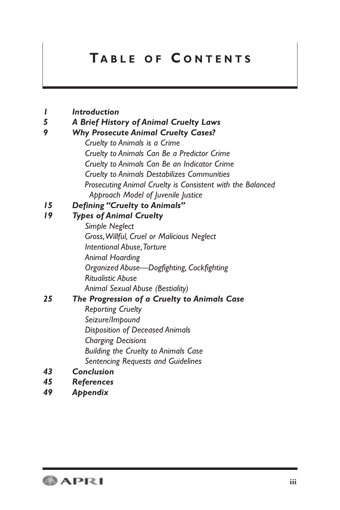## **T ABLE OF C ONTENTS**

| Introduction |
|--------------|
|--------------|

*5 A Brief History of Animal Cruelty Laws*

#### *9 Why Prosecute Animal Cruelty Cases?*

*Cruelty to Animals is a Crime Cruelty to Animals Can Be a Predictor Crime Cruelty to Animals Can Be an Indicator Crime Cruelty to Animals Destabilizes Communities Prosecuting Animal Cruelty is Consistent with the Balanced Approach Model of Juvenile Justice*

#### *15 Defining "Cruelty to Animals"*

#### *19 Types of Animal Cruelty*

*Simple Neglect Gross,Willful, Cruel or Malicious Neglect Intentional Abuse,Torture Animal Hoarding Organized Abuse—Dogfighting, Cockfighting Ritualistic Abuse Animal Sexual Abuse (Bestiality)*

### *25 The Progression of a Cruelty to Animals Case*

- *Reporting Cruelty Seizure/Impound Disposition of Deceased Animals Charging Decisions Building the Cruelty to Animals Case Sentencing Requests and Guidelines*
- *43 Conclusion*
- *45 References*
- *49 Appendix*

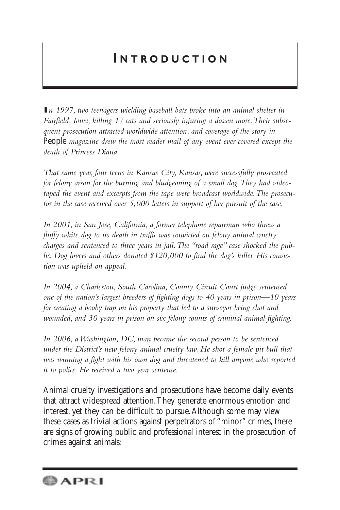## **I NTRODUCTION**

**I***n 1997, two teenagers wielding baseball bats broke into an animal shelter in Fairfield, Iowa, killing 17 cats and seriously injuring a dozen more.Their subsequent prosecution attracted worldwide attention, and coverage of the story in* People *magazine drew the most reader mail of any event ever covered except the death of Princess Diana.*

*That same year, four teens in Kansas City, Kansas, were successfully prosecuted for felony arson for the burning and bludgeoning of a small dog.They had videotaped the event and excerpts from the tape were broadcast worldwide.The prosecutor in the case received over 5,000 letters in support of her pursuit of the case.*

*In 2001, in San Jose, California, a former telephone repairman who threw a fluffy white dog to its death in traffic was convicted on felony animal cruelty charges and sentenced to three years in jail.The "road rage" case shocked the public. Dog lovers and others donated \$120,000 to find the dog's killer. His conviction was upheld on appeal.*

*In 2004, a Charleston, South Carolina, County Circuit Court judge sentenced one of the nation's largest breeders of fighting dogs to 40 years in prison—10 years for creating a booby trap on his property that led to a surveyor being shot and wounded, and 30 years in prison on six felony counts of criminal animal fighting.*

*In 2006, a Washington, DC, man became the second person to be sentenced under the District's new felony animal cruelty law. He shot a female pit bull that was winning a fight with his own dog and threatened to kill anyone who reported it to police. He received a two year sentence.*

Animal cruelty investigations and prosecutions have become daily events that attract widespread attention.They generate enormous emotion and interest, yet they can be difficult to pursue.Although some may view these cases as trivial actions against perpetrators of "minor" crimes, there are signs of growing public and professional interest in the prosecution of crimes against animals:

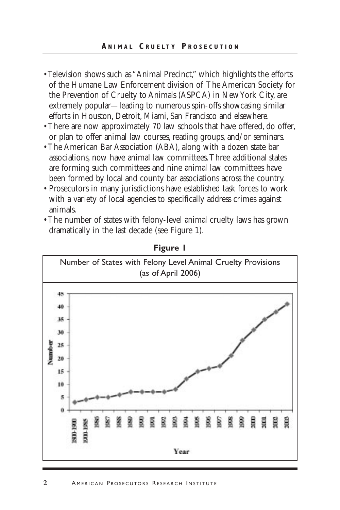#### **A NIMAL C RUELTY P R OSECUTION**

- Television shows such as "Animal Precinct," which highlights the efforts of the Humane Law Enforcement division of The American Society for the Prevention of Cruelty to Animals (ASPCA) in New York City, are extremely popular—leading to numerous spin-offs showcasing similar efforts in Houston, Detroit, Miami, San Francisco and elsewhere.
- There are now approximately 70 law schools that have offered, do offer, or plan to offer animal law courses, reading groups, and/or seminars.
- The American Bar Association (ABA), along with a dozen state bar associations, now have animal law committees.Three additional states are forming such committees and nine animal law committees have been formed by local and county bar associations across the country.
- Prosecutors in many jurisdictions have established task forces to work with a variety of local agencies to specifically address crimes against animals.
- The number of states with felony-level animal cruelty laws has grown dramatically in the last decade (see Figure 1).



**Figure 1**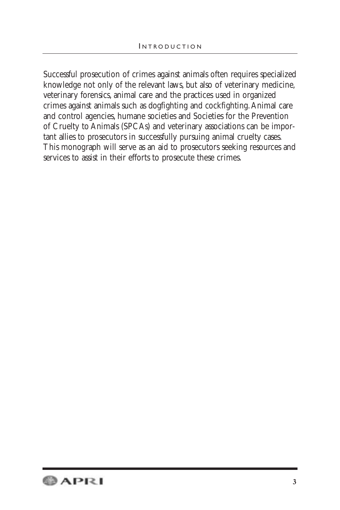Successful prosecution of crimes against animals often requires specialized knowledge not only of the relevant laws, but also of veterinary medicine, veterinary forensics, animal care and the practices used in organized crimes against animals such as dogfighting and cockfighting.Animal care and control agencies, humane societies and Societies for the Prevention of Cruelty to Animals (SPCAs) and veterinary associations can be important allies to prosecutors in successfully pursuing animal cruelty cases. This monograph will serve as an aid to prosecutors seeking resources and services to assist in their efforts to prosecute these crimes.

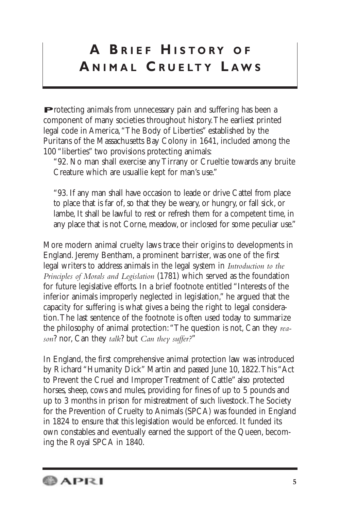# **A B RIEF H ISTORY OF A NIMAL C R UELTY L AWS**

**P**rotecting animals from unnecessary pain and suffering has been a component of many societies throughout history.The earliest printed legal code in America,"The Body of Liberties" established by the Puritans of the Massachusetts Bay Colony in 1641, included among the 100 "liberties" two provisions protecting animals:

"92. No man shall exercise any Tirrany or Crueltie towards any bruite Creature which are usuallie kept for man's use."

"93. If any man shall have occasion to leade or drive Cattel from place to place that is far of, so that they be weary, or hungry, or fall sick, or lambe, It shall be lawful to rest or refresh them for a competent time, in any place that is not Corne, meadow, or inclosed for some peculiar use."

More modern animal cruelty laws trace their origins to developments in England. Jeremy Bentham, a prominent barrister, was one of the first legal writers to address animals in the legal system in *Introduction to the Principles of Morals and Legislation* (1781) which served as the foundation for future legislative efforts. In a brief footnote entitled "Interests of the inferior animals improperly neglected in legislation," he argued that the capacity for suffering is what gives a being the right to legal consideration.The last sentence of the footnote is often used today to summarize the philosophy of animal protection:"The question is not, Can they *reason*? nor, Can they *talk*? but *Can they suffer?*"

In England, the first comprehensive animal protection law was introduced by Richard "Humanity Dick" Martin and passed June 10, 1822.This "Act to Prevent the Cruel and Improper Treatment of Cattle" also protected horses, sheep, cows and mules, providing for fines of up to 5 pounds and up to 3 months in prison for mistreatment of such livestock.The Society for the Prevention of Cruelty to Animals (SPCA) was founded in England in 1824 to ensure that this legislation would be enforced. It funded its own constables and eventually earned the support of the Queen, becoming the Royal SPCA in 1840.

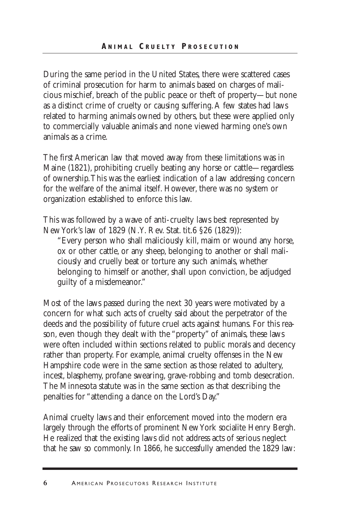During the same period in the United States, there were scattered cases of criminal prosecution for harm to animals based on charges of malicious mischief, breach of the public peace or theft of property—but none as a distinct crime of cruelty or causing suffering.A few states had laws related to harming animals owned by others, but these were applied only to commercially valuable animals and none viewed harming one's own animals as a crime.

The first American law that moved away from these limitations was in Maine (1821), prohibiting cruelly beating any horse or cattle—regardless of ownership.This was the earliest indication of a law addressing concern for the welfare of the animal itself. However, there was no system or organization established to enforce this law.

This was followed by a wave of anti-cruelty laws best represented by New York's law of 1829 (N.Y. Rev. Stat. tit.6 §26 (1829)):

"Every person who shall maliciously kill, maim or wound any horse, ox or other cattle, or any sheep, belonging to another or shall maliciously and cruelly beat or torture any such animals, whether belonging to himself or another, shall upon conviction, be adjudged guilty of a misdemeanor."

Most of the laws passed during the next 30 years were motivated by a concern for what such acts of cruelty said about the perpetrator of the deeds and the possibility of future cruel acts against humans. For this reason, even though they dealt with the "property" of animals, these laws were often included within sections related to public morals and decency rather than property. For example, animal cruelty offenses in the New Hampshire code were in the same section as those related to adultery, incest, blasphemy, profane swearing, grave-robbing and tomb desecration. The Minnesota statute was in the same section as that describing the penalties for "attending a dance on the Lord's Day."

Animal cruelty laws and their enforcement moved into the modern era largely through the efforts of prominent New York socialite Henry Bergh. He realized that the existing laws did not address acts of serious neglect that he saw so commonly. In 1866, he successfully amended the 1829 law: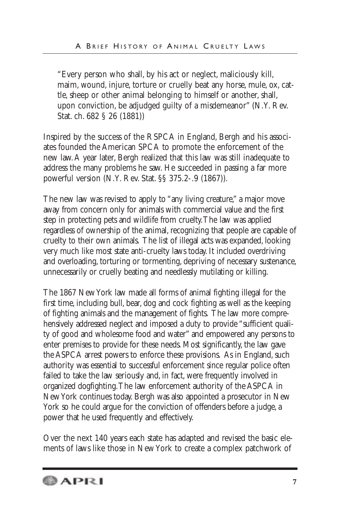"Every person who shall, by his act or neglect, maliciously kill, maim, wound, injure, torture or cruelly beat any horse, mule, ox, cattle, sheep or other animal belonging to himself or another, shall, upon conviction, be adjudged guilty of a misdemeanor" (N.Y. Rev. Stat. ch. 682 § 26 (1881))

Inspired by the success of the RSPCA in England, Bergh and his associates founded the American SPCA to promote the enforcement of the new law.A year later, Bergh realized that this law was still inadequate to address the many problems he saw. He succeeded in passing a far more powerful version (N.Y. Rev. Stat. §§ 375.2-.9 (1867)).

The new law was revised to apply to "any living creature," a major move away from concern only for animals with commercial value and the first step in protecting pets and wildlife from cruelty.The law was applied regardless of ownership of the animal, recognizing that people are capable of cruelty to their own animals. The list of illegal acts was expanded, looking very much like most state anti-cruelty laws today. It included overdriving and overloading, torturing or tormenting, depriving of necessary sustenance, unnecessarily or cruelly beating and needlessly mutilating or killing.

The 1867 New York law made all forms of animal fighting illegal for the first time, including bull, bear, dog and cock fighting as well as the keeping of fighting animals and the management of fights. The law more comprehensively addressed neglect and imposed a duty to provide "sufficient quality of good and wholesome food and water" and empowered any persons to enter premises to provide for these needs. Most significantly, the law gave the ASPCA arrest powers to enforce these provisions. As in England, such authority was essential to successful enforcement since regular police often failed to take the law seriously and, in fact, were frequently involved in organized dogfighting.The law enforcement authority of the ASPCA in New York continues today. Bergh was also appointed a prosecutor in New York so he could argue for the conviction of offenders before a judge, a power that he used frequently and effectively.

Over the next 140 years each state has adapted and revised the basic elements of laws like those in New York to create a complex patchwork of

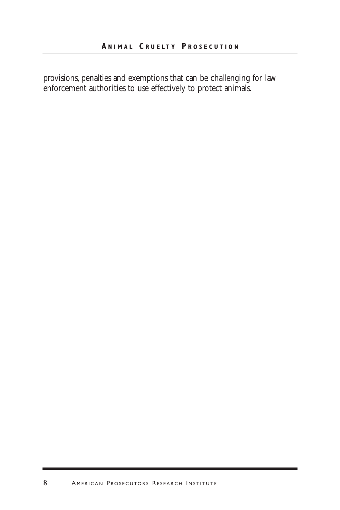provisions, penalties and exemptions that can be challenging for law enforcement authorities to use effectively to protect animals.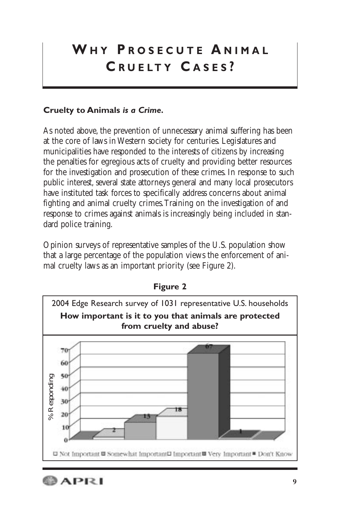# **W H Y P R OSECUTE A NIMAL C R UELTY C ASES ?**

## **Cruelty to Animals** *is a Crime.*

As noted above, the prevention of unnecessary animal suffering has been at the core of laws in Western society for centuries. Legislatures and municipalities have responded to the interests of citizens by increasing the penalties for egregious acts of cruelty and providing better resources for the investigation and prosecution of these crimes. In response to such public interest, several state attorneys general and many local prosecutors have instituted task forces to specifically address concerns about animal fighting and animal cruelty crimes.Training on the investigation of and response to crimes against animals is increasingly being included in standard police training.

Opinion surveys of representative samples of the U.S. population show that a large percentage of the population views the enforcement of animal cruelty laws as an important priority (see Figure 2).



**Figure 2**

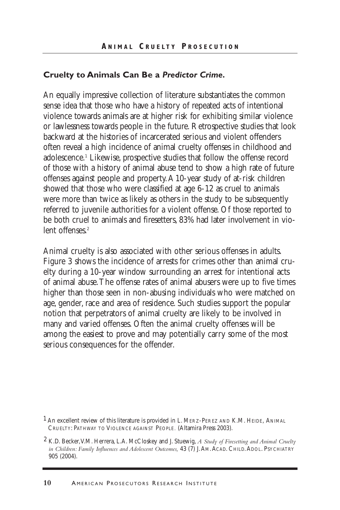#### **Cruelty to Animals Can Be a** *Predictor Crime.*

An equally impressive collection of literature substantiates the common sense idea that those who have a history of repeated acts of intentional violence towards animals are at higher risk for exhibiting similar violence or lawlessness towards people in the future. Retrospective studies that look backward at the histories of incarcerated serious and violent offenders often reveal a high incidence of animal cruelty offenses in childhood and adolescence.1 Likewise, prospective studies that follow the offense record of those with a history of animal abuse tend to show a high rate of future offenses against people and property.A 10-year study of at-risk children showed that those who were classified at age 6-12 as cruel to animals were more than twice as likely as others in the study to be subsequently referred to juvenile authorities for a violent offense. Of those reported to be both cruel to animals and firesetters, 83% had later involvement in violent offenses<sup>2</sup>

Animal cruelty is also associated with other serious offenses in adults. Figure 3 shows the incidence of arrests for crimes other than animal cruelty during a 10-year window surrounding an arrest for intentional acts of animal abuse.The offense rates of animal abusers were up to five times higher than those seen in non-abusing individuals who were matched on age, gender, race and area of residence. Such studies support the popular notion that perpetrators of animal cruelty are likely to be involved in many and varied offenses. Often the animal cruelty offenses will be among the easiest to prove and may potentially carry some of the most serious consequences for the offender.

 $<sup>1</sup>$  An excellent review of this literature is provided in L. MERZ-PEREZ AND K.M. HEIDE, ANIMAL</sup> CRUELTY: PATHWAY TO VIOLENCE AGAINST PEOPLE*.* (Altamira Press 2003).

<sup>2</sup> K.D. Becker,V.M. Herrera, L.A. McCloskey and J. Stuewig, *A Study of Firesetting and Animal Cruelty in Children: Family Influences and Adolescent Outcomes,* 43 (7) J.AM.ACAD. CHILD.ADOL. PSYCHIATRY 905 (2004).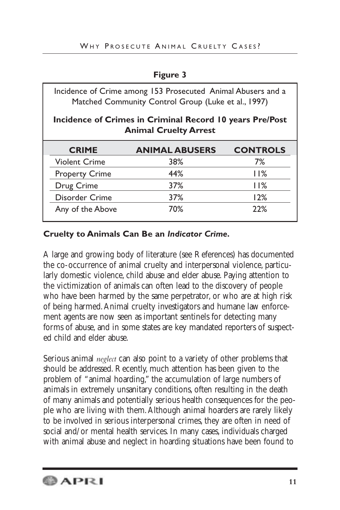| ш<br>ı<br>н |  |
|-------------|--|
|-------------|--|

| Incidence of Crime among 153 Prosecuted Animal Abusers and a<br>Matched Community Control Group (Luke et al., 1997) |                       |                 |  |  |
|---------------------------------------------------------------------------------------------------------------------|-----------------------|-----------------|--|--|
| Incidence of Crimes in Criminal Record 10 years Pre/Post<br><b>Animal Cruelty Arrest</b>                            |                       |                 |  |  |
| <b>CRIME</b>                                                                                                        | <b>ANIMAL ABUSERS</b> | <b>CONTROLS</b> |  |  |
| <b>Violent Crime</b>                                                                                                | 38%                   | 7%              |  |  |
| <b>Property Crime</b>                                                                                               | 44%                   | 11%             |  |  |
| Drug Crime                                                                                                          | 37%                   | 11%             |  |  |
| Disorder Crime                                                                                                      | 37%                   | 12%             |  |  |
|                                                                                                                     |                       | 22%             |  |  |

## **Cruelty to Animals Can Be an** *Indicator Crime.*

A large and growing body of literature (see References) has documented the co-occurrence of animal cruelty and interpersonal violence, particularly domestic violence, child abuse and elder abuse. Paying attention to the victimization of animals can often lead to the discovery of people who have been harmed by the same perpetrator, or who are at high risk of being harmed.Animal cruelty investigators and humane law enforcement agents are now seen as important sentinels for detecting many forms of abuse, and in some states are key mandated reporters of suspected child and elder abuse.

Serious animal *neglect* can also point to a variety of other problems that should be addressed. Recently, much attention has been given to the problem of "animal hoarding," the accumulation of large numbers of animals in extremely unsanitary conditions, often resulting in the death of many animals and potentially serious health consequences for the people who are living with them.Although animal hoarders are rarely likely to be involved in serious interpersonal crimes, they are often in need of social and/or mental health services. In many cases, individuals charged with animal abuse and neglect in hoarding situations have been found to

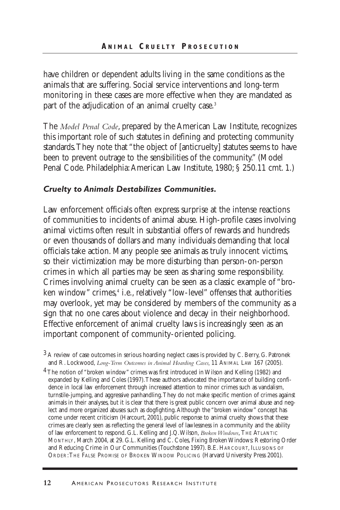have children or dependent adults living in the same conditions as the animals that are suffering. Social service interventions and long-term monitoring in these cases are more effective when they are mandated as part of the adjudication of an animal cruelty case.<sup>3</sup>

The *Model Penal Code*, prepared by the American Law Institute, recognizes this important role of such statutes in defining and protecting community standards.They note that "the object of [anticruelty] statutes seems to have been to prevent outrage to the sensibilities of the community." (Model Penal Code. Philadelphia:American Law Institute, 1980; § 250.11 cmt. 1.)

### *Cruelty to Animals Destabilizes Communities.*

Law enforcement officials often express surprise at the intense reactions of communities to incidents of animal abuse. High-profile cases involving animal victims often result in substantial offers of rewards and hundreds or even thousands of dollars and many individuals demanding that local officials take action. Many people see animals as truly innocent victims, so their victimization may be more disturbing than person-on-person crimes in which all parties may be seen as sharing some responsibility. Crimes involving animal cruelty can be seen as a classic example of "broken window" crimes,<sup>4</sup> i.e., relatively "low-level" offenses that authorities may overlook, yet may be considered by members of the community as a sign that no one cares about violence and decay in their neighborhood. Effective enforcement of animal cruelty laws is increasingly seen as an important component of community-oriented policing.

<sup>4</sup> The notion of "broken window" crimes was first introduced in Wilson and Kelling (1982) and expanded by Kelling and Coles (1997).These authors advocated the importance of building confidence in local law enforcement through increased attention to minor crimes such as vandalism, turnstile-jumping, and aggressive panhandling.They do not make specific mention of crimes against animals in their analyses, but it is clear that there is great public concern over animal abuse and neglect and more organized abuses such as dogfighting.Although the "broken window" concept has come under recent criticism (Harcourt, 2001), public response to animal cruelty shows that these crimes are clearly seen as reflecting the general level of lawlessness in a community and the ability of law enforcement to respond. G.L. Kelling and J.Q.Wilson, *Broken Windows*, THE ATLANTIC MONTHLY, March 2004, at 29. G.L. Kelling and C. Coles, Fixing Broken Windows: Restoring Order and Reducing Crime in Our Communities (Touchstone 1997). B.E. HARCOURT, ILLUSIONS OF ORDER:THE FALSE PROMISE OF BROKEN WINDOW POLICING (Harvard University Press 2001).

<sup>3</sup> A review of case outcomes in serious hoarding neglect cases is provided by C. Berry, G. Patronek and R. Lockwood, *Long-Term Outcomes in Animal Hoarding Cases,* 11 ANIMAL LAW 167 (2005).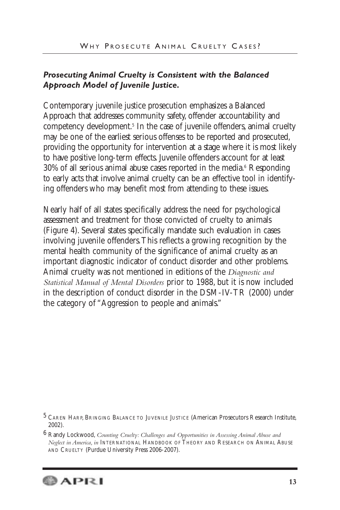## *Prosecuting Animal Cruelty is Consistent with the Balanced Approach Model of Juvenile Justice.*

Contemporary juvenile justice prosecution emphasizes a Balanced Approach that addresses community safety, offender accountability and competency development.<sup>5</sup> In the case of juvenile offenders, animal cruelty may be one of the earliest serious offenses to be reported and prosecuted, providing the opportunity for intervention at a stage where it is most likely to have positive long-term effects. Juvenile offenders account for at least  $30\%$  of all serious animal abuse cases reported in the media.<sup>6</sup> Responding to early acts that involve animal cruelty can be an effective tool in identifying offenders who may benefit most from attending to these issues.

Nearly half of all states specifically address the need for psychological assessment and treatment for those convicted of cruelty to animals (Figure 4). Several states specifically mandate such evaluation in cases involving juvenile offenders.This reflects a growing recognition by the mental health community of the significance of animal cruelty as an important diagnostic indicator of conduct disorder and other problems. Animal cruelty was not mentioned in editions of the *Diagnostic and Statistical Manual of Mental Disorders* prior to 1988, but it is now included in the description of conduct disorder in the DSM-IV-TR (2000) under the category of "Aggression to people and animals."

<sup>6</sup> Randy Lockwood, *Counting Cruelty: Challenges and Opportunities in Assessing Animal Abuse and Neglect in America, in* INTERNATIONAL HANDBOOK OF THEORY AND RESEARCH ON ANIMAL ABUSE AND CRUELTY (Purdue University Press 2006-2007).



<sup>5</sup> CAREN HARP, BRINGING BALANCE TO JUVENILE JUSTICE (American Prosecutors Research Institute, 2002).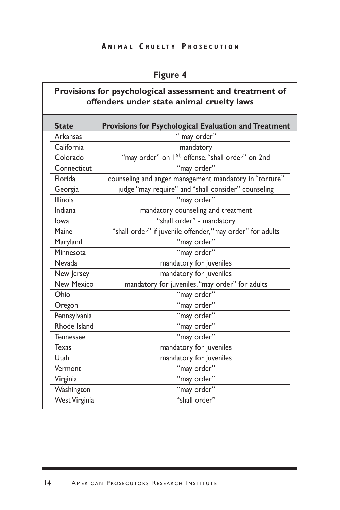## **A NIMAL C RUELTY P R OSECUTION**

## **Figure 4**

## **Provisions for psychological assessment and treatment of offenders under state animal cruelty laws**

| <b>State</b>      | Provisions for Psychological Evaluation and Treatment        |
|-------------------|--------------------------------------------------------------|
| <b>Arkansas</b>   | " may order"                                                 |
| California        | mandatory                                                    |
| Colorado          | "may order" on 1 <sup>st</sup> offense, "shall order" on 2nd |
| Connecticut       | "may order"                                                  |
| Florida           | counseling and anger management mandatory in "torture"       |
| Georgia           | judge "may require" and "shall consider" counseling          |
| <b>Illinois</b>   | "may order"                                                  |
| Indiana           | mandatory counseling and treatment                           |
| lowa              | "shall order" - mandatory                                    |
| Maine             | "shall order" if juvenile offender, "may order" for adults   |
| Maryland          | "may order"                                                  |
| Minnesota         | "may order"                                                  |
| Nevada            | mandatory for juveniles                                      |
| New Jersey        | mandatory for juveniles                                      |
| <b>New Mexico</b> | mandatory for juveniles, "may order" for adults              |
| Ohio              | "may order"                                                  |
| Oregon            | "may order"                                                  |
| Pennsylvania      | "may order"                                                  |
| Rhode Island      | "may order"                                                  |
| <b>Tennessee</b>  | "may order"                                                  |
| Texas             | mandatory for juveniles                                      |
| Utah              | mandatory for juveniles                                      |
| Vermont           | "may order"                                                  |
| Virginia          | "may order"                                                  |
| Washington        | "may order"                                                  |
| West Virginia     | "shall order"                                                |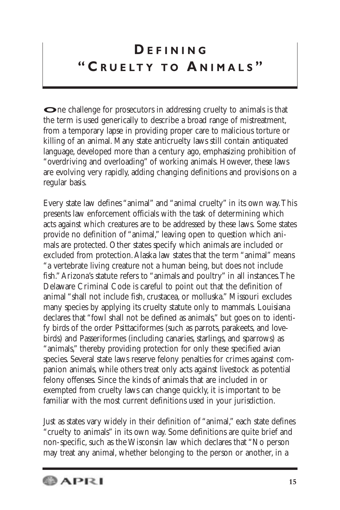# **D EFINING " C R UELTY TO A NIMALS "**

**O**ne challenge for prosecutors in addressing cruelty to animals is that the term is used generically to describe a broad range of mistreatment, from a temporary lapse in providing proper care to malicious torture or killing of an animal. Many state anticruelty laws still contain antiquated language, developed more than a century ago, emphasizing prohibition of "overdriving and overloading" of working animals. However, these laws are evolving very rapidly, adding changing definitions and provisions on a regular basis.

Every state law defines "animal" and "animal cruelty" in its own way.This presents law enforcement officials with the task of determining which acts against which creatures are to be addressed by these laws. Some states provide no definition of "animal," leaving open to question which animals are protected. Other states specify which animals are included or excluded from protection.Alaska law states that the term "animal" means "a vertebrate living creature not a human being, but does not include fish."Arizona's statute refers to "animals and poultry" in all instances.The Delaware Criminal Code is careful to point out that the definition of animal "shall not include fish, crustacea, or molluska." Missouri excludes many species by applying its cruelty statute only to mammals. Louisiana declares that "fowl shall not be defined as animals," but goes on to identify birds of the order Psittaciformes (such as parrots, parakeets, and lovebirds) and Passeriformes (including canaries, starlings, and sparrows) as "animals," thereby providing protection for only these specified avian species. Several state laws reserve felony penalties for crimes against companion animals, while others treat only acts against livestock as potential felony offenses. Since the kinds of animals that are included in or exempted from cruelty laws can change quickly, it is important to be familiar with the most current definitions used in your jurisdiction.

Just as states vary widely in their definition of "animal," each state defines "cruelty to animals" in its own way. Some definitions are quite brief and non-specific, such as the Wisconsin law which declares that "No person may treat any animal, whether belonging to the person or another, in a

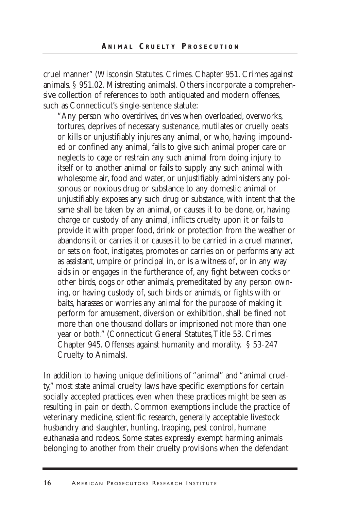cruel manner" (Wisconsin Statutes. Crimes. Chapter 951. Crimes against animals. § 951.02. Mistreating animals). Others incorporate a comprehensive collection of references to both antiquated and modern offenses, such as Connecticut's single-sentence statute:

"Any person who overdrives, drives when overloaded, overworks, tortures, deprives of necessary sustenance, mutilates or cruelly beats or kills or unjustifiably injures any animal, or who, having impounded or confined any animal, fails to give such animal proper care or neglects to cage or restrain any such animal from doing injury to itself or to another animal or fails to supply any such animal with wholesome air, food and water, or unjustifiably administers any poisonous or noxious drug or substance to any domestic animal or unjustifiably exposes any such drug or substance, with intent that the same shall be taken by an animal, or causes it to be done, or, having charge or custody of any animal, inflicts cruelty upon it or fails to provide it with proper food, drink or protection from the weather or abandons it or carries it or causes it to be carried in a cruel manner, or sets on foot, instigates, promotes or carries on or performs any act as assistant, umpire or principal in, or is a witness of, or in any way aids in or engages in the furtherance of, any fight between cocks or other birds, dogs or other animals, premeditated by any person owning, or having custody of, such birds or animals, or fights with or baits, harasses or worries any animal for the purpose of making it perform for amusement, diversion or exhibition, shall be fined not more than one thousand dollars or imprisoned not more than one year or both." (Connecticut General Statutes,Title 53. Crimes Chapter 945. Offenses against humanity and morality. § 53-247 Cruelty to Animals).

In addition to having unique definitions of "animal" and "animal cruelty," most state animal cruelty laws have specific exemptions for certain socially accepted practices, even when these practices might be seen as resulting in pain or death. Common exemptions include the practice of veterinary medicine, scientific research, generally acceptable livestock husbandry and slaughter, hunting, trapping, pest control, humane euthanasia and rodeos. Some states expressly exempt harming animals belonging to another from their cruelty provisions when the defendant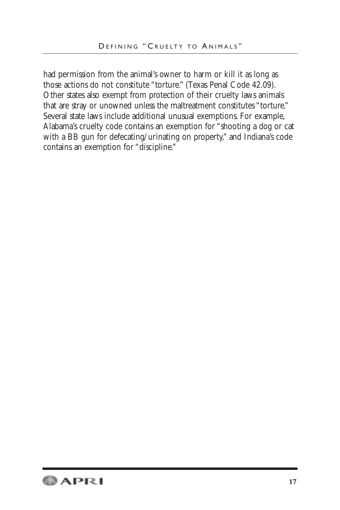had permission from the animal's owner to harm or kill it as long as those actions do not constitute "torture." (Texas Penal Code 42.09). Other states also exempt from protection of their cruelty laws animals that are stray or unowned unless the maltreatment constitutes "torture." Several state laws include additional unusual exemptions. For example, Alabama's cruelty code contains an exemption for "shooting a dog or cat with a BB gun for defecating/urinating on property," and Indiana's code contains an exemption for "discipline."

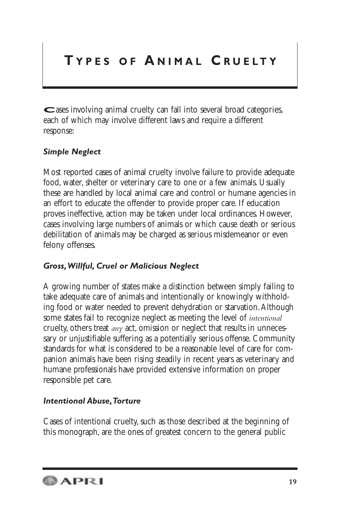## **T YPES OF A NIMAL C R UELTY**

**C**ases involving animal cruelty can fall into several broad categories, each of which may involve different laws and require a different response:

## *Simple Neglect*

Most reported cases of animal cruelty involve failure to provide adequate food, water, shelter or veterinary care to one or a few animals. Usually these are handled by local animal care and control or humane agencies in an effort to educate the offender to provide proper care. If education proves ineffective, action may be taken under local ordinances. However, cases involving large numbers of animals or which cause death or serious debilitation of animals may be charged as serious misdemeanor or even felony offenses.

## *Gross,Willful, Cruel or Malicious Neglect*

A growing number of states make a distinction between simply failing to take adequate care of animals and intentionally or knowingly withholding food or water needed to prevent dehydration or starvation.Although some states fail to recognize neglect as meeting the level of *intentional* cruelty, others treat *any* act, omission or neglect that results in unnecessary or unjustifiable suffering as a potentially serious offense. Community standards for what is considered to be a reasonable level of care for companion animals have been rising steadily in recent years as veterinary and humane professionals have provided extensive information on proper responsible pet care.

## *Intentional Abuse,Torture*

Cases of intentional cruelty, such as those described at the beginning of this monograph, are the ones of greatest concern to the general public

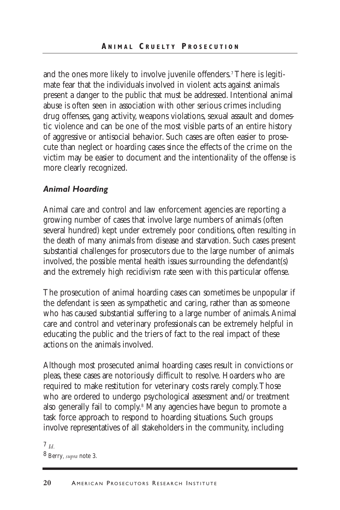and the ones more likely to involve juvenile offenders.<sup>7</sup> There is legitimate fear that the individuals involved in violent acts against animals present a danger to the public that must be addressed. Intentional animal abuse is often seen in association with other serious crimes including drug offenses, gang activity, weapons violations, sexual assault and domestic violence and can be one of the most visible parts of an entire history of aggressive or antisocial behavior. Such cases are often easier to prosecute than neglect or hoarding cases since the effects of the crime on the victim may be easier to document and the intentionality of the offense is more clearly recognized.

### *Animal Hoarding*

Animal care and control and law enforcement agencies are reporting a growing number of cases that involve large numbers of animals (often several hundred) kept under extremely poor conditions, often resulting in the death of many animals from disease and starvation. Such cases present substantial challenges for prosecutors due to the large number of animals involved, the possible mental health issues surrounding the defendant(s) and the extremely high recidivism rate seen with this particular offense.

The prosecution of animal hoarding cases can sometimes be unpopular if the defendant is seen as sympathetic and caring, rather than as someone who has caused substantial suffering to a large number of animals.Animal care and control and veterinary professionals can be extremely helpful in educating the public and the triers of fact to the real impact of these actions on the animals involved.

Although most prosecuted animal hoarding cases result in convictions or pleas, these cases are notoriously difficult to resolve. Hoarders who are required to make restitution for veterinary costs rarely comply.Those who are ordered to undergo psychological assessment and/or treatment also generally fail to comply.<sup>8</sup> Many agencies have begun to promote a task force approach to respond to hoarding situations. Such groups involve representatives of all stakeholders in the community, including

7 *Id.* 8 Berry*, supra* note 3.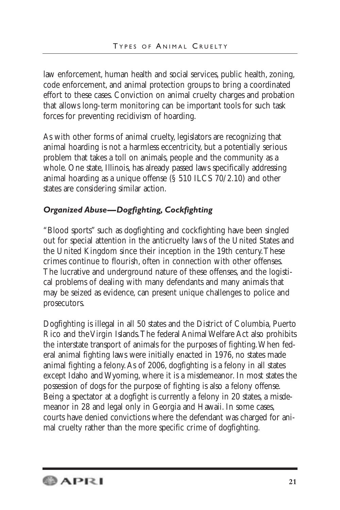law enforcement, human health and social services, public health, zoning, code enforcement, and animal protection groups to bring a coordinated effort to these cases. Conviction on animal cruelty charges and probation that allows long-term monitoring can be important tools for such task forces for preventing recidivism of hoarding.

As with other forms of animal cruelty, legislators are recognizing that animal hoarding is not a harmless eccentricity, but a potentially serious problem that takes a toll on animals, people and the community as a whole. One state, Illinois, has already passed laws specifically addressing animal hoarding as a unique offense (§ 510 ILCS 70/2.10) and other states are considering similar action.

## *Organized Abuse—Dogfighting, Cockfighting*

"Blood sports" such as dogfighting and cockfighting have been singled out for special attention in the anticruelty laws of the United States and the United Kingdom since their inception in the 19th century.These crimes continue to flourish, often in connection with other offenses. The lucrative and underground nature of these offenses, and the logistical problems of dealing with many defendants and many animals that may be seized as evidence, can present unique challenges to police and prosecutors.

Dogfighting is illegal in all 50 states and the District of Columbia, Puerto Rico and the Virgin Islands.The federal Animal Welfare Act also prohibits the interstate transport of animals for the purposes of fighting.When federal animal fighting laws were initially enacted in 1976, no states made animal fighting a felony.As of 2006, dogfighting is a felony in all states except Idaho and Wyoming, where it is a misdemeanor. In most states the possession of dogs for the purpose of fighting is also a felony offense. Being a spectator at a dogfight is currently a felony in 20 states, a misdemeanor in 28 and legal only in Georgia and Hawaii. In some cases, courts have denied convictions where the defendant was charged for animal cruelty rather than the more specific crime of dogfighting.

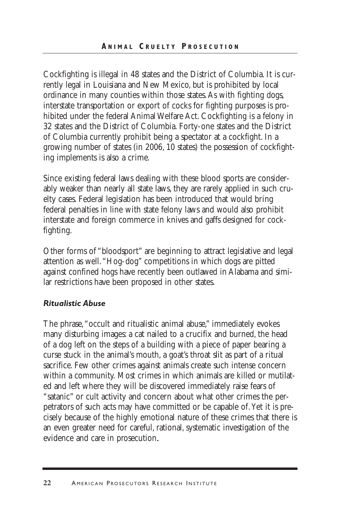Cockfighting is illegal in 48 states and the District of Columbia. It is currently legal in Louisiana and New Mexico, but is prohibited by local ordinance in many counties within those states.As with fighting dogs, interstate transportation or export of cocks for fighting purposes is prohibited under the federal Animal Welfare Act. Cockfighting is a felony in 32 states and the District of Columbia. Forty-one states and the District of Columbia currently prohibit being a spectator at a cockfight. In a growing number of states (in 2006, 10 states) the possession of cockfighting implements is also a crime.

Since existing federal laws dealing with these blood sports are considerably weaker than nearly all state laws, they are rarely applied in such cruelty cases. Federal legislation has been introduced that would bring federal penalties in line with state felony laws and would also prohibit interstate and foreign commerce in knives and gaffs designed for cockfighting.

Other forms of "bloodsport" are beginning to attract legislative and legal attention as well."Hog-dog" competitions in which dogs are pitted against confined hogs have recently been outlawed in Alabama and similar restrictions have been proposed in other states.

## *Ritualistic Abuse*

The phrase,"occult and ritualistic animal abuse," immediately evokes many disturbing images: a cat nailed to a crucifix and burned, the head of a dog left on the steps of a building with a piece of paper bearing a curse stuck in the animal's mouth, a goat's throat slit as part of a ritual sacrifice. Few other crimes against animals create such intense concern within a community. Most crimes in which animals are killed or mutilated and left where they will be discovered immediately raise fears of "satanic" or cult activity and concern about what other crimes the perpetrators of such acts may have committed or be capable of.Yet it is precisely because of the highly emotional nature of these crimes that there is an even greater need for careful, rational, systematic investigation of the evidence and care in prosecution**.**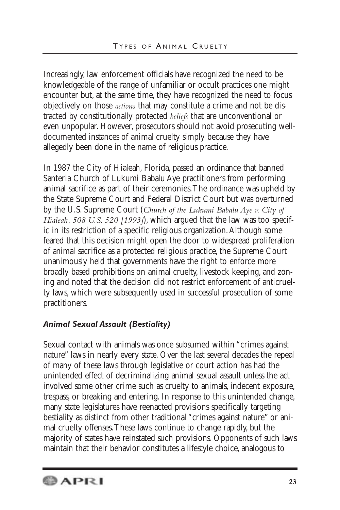Increasingly, law enforcement officials have recognized the need to be knowledgeable of the range of unfamiliar or occult practices one might encounter but, at the same time, they have recognized the need to focus objectively on those *actions* that may constitute a crime and not be distracted by constitutionally protected *beliefs* that are unconventional or even unpopular. However, prosecutors should not avoid prosecuting welldocumented instances of animal cruelty simply because they have allegedly been done in the name of religious practice.

In 1987 the City of Hialeah, Florida, passed an ordinance that banned Santeria Church of Lukumi Babalu Aye practitioners from performing animal sacrifice as part of their ceremonies.The ordinance was upheld by the State Supreme Court and Federal District Court but was overturned by the U.S. Supreme Court (*Church of the Lukumi Babalu Aye v. City of Hialeah, 508 U.S. 520 [1993]*), which argued that the law was too specific in its restriction of a specific religious organization.Although some feared that this decision might open the door to widespread proliferation of animal sacrifice as a protected religious practice, the Supreme Court unanimously held that governments have the right to enforce more broadly based prohibitions on animal cruelty, livestock keeping, and zoning and noted that the decision did not restrict enforcement of anticruelty laws, which were subsequently used in successful prosecution of some practitioners.

## *Animal Sexual Assault (Bestiality)*

Sexual contact with animals was once subsumed within "crimes against nature" laws in nearly every state. Over the last several decades the repeal of many of these laws through legislative or court action has had the unintended effect of decriminalizing animal sexual assault unless the act involved some other crime such as cruelty to animals, indecent exposure, trespass, or breaking and entering. In response to this unintended change, many state legislatures have reenacted provisions specifically targeting bestiality as distinct from other traditional "crimes against nature" or animal cruelty offenses.These laws continue to change rapidly, but the majority of states have reinstated such provisions. Opponents of such laws maintain that their behavior constitutes a lifestyle choice, analogous to

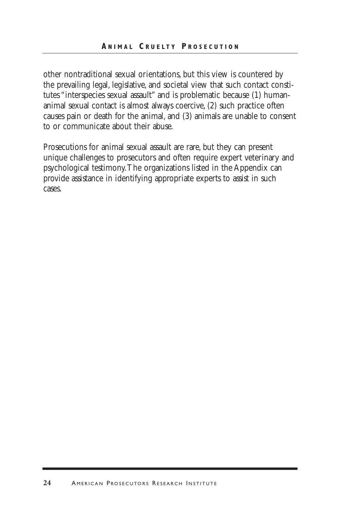other nontraditional sexual orientations, but this view is countered by the prevailing legal, legislative, and societal view that such contact constitutes "interspecies sexual assault" and is problematic because (1) humananimal sexual contact is almost always coercive, (2) such practice often causes pain or death for the animal, and (3) animals are unable to consent to or communicate about their abuse.

Prosecutions for animal sexual assault are rare, but they can present unique challenges to prosecutors and often require expert veterinary and psychological testimony.The organizations listed in the Appendix can provide assistance in identifying appropriate experts to assist in such cases.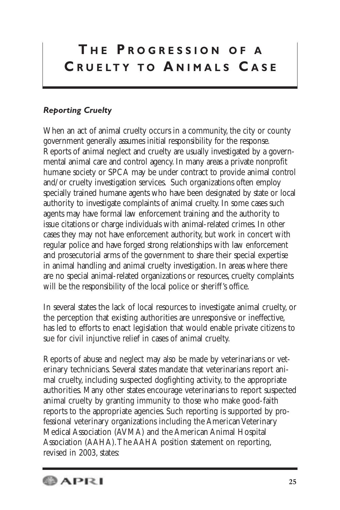# **T H E P R OGRESSION OF A C R UELTY TO A NIMALS C ASE**

## *Reporting Cruelty*

When an act of animal cruelty occurs in a community, the city or county government generally assumes initial responsibility for the response. Reports of animal neglect and cruelty are usually investigated by a governmental animal care and control agency. In many areas a private nonprofit humane society or SPCA may be under contract to provide animal control and/or cruelty investigation services. Such organizations often employ specially trained humane agents who have been designated by state or local authority to investigate complaints of animal cruelty. In some cases such agents may have formal law enforcement training and the authority to issue citations or charge individuals with animal-related crimes. In other cases they may not have enforcement authority, but work in concert with regular police and have forged strong relationships with law enforcement and prosecutorial arms of the government to share their special expertise in animal handling and animal cruelty investigation. In areas where there are no special animal-related organizations or resources, cruelty complaints will be the responsibility of the local police or sheriff's office.

In several states the lack of local resources to investigate animal cruelty, or the perception that existing authorities are unresponsive or ineffective, has led to efforts to enact legislation that would enable private citizens to sue for civil injunctive relief in cases of animal cruelty.

Reports of abuse and neglect may also be made by veterinarians or veterinary technicians. Several states mandate that veterinarians report animal cruelty, including suspected dogfighting activity, to the appropriate authorities. Many other states encourage veterinarians to report suspected animal cruelty by granting immunity to those who make good-faith reports to the appropriate agencies. Such reporting is supported by professional veterinary organizations including the American Veterinary Medical Association (AVMA) and the American Animal Hospital Association (AAHA).The AAHA position statement on reporting, revised in 2003, states:

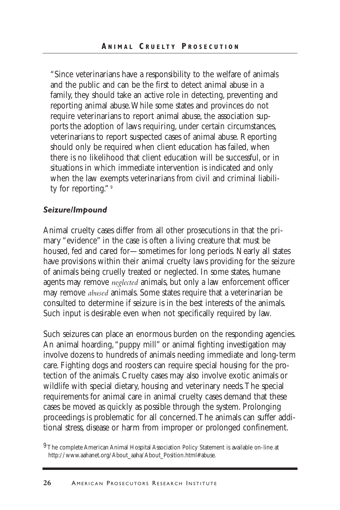"Since veterinarians have a responsibility to the welfare of animals and the public and can be the first to detect animal abuse in a family, they should take an active role in detecting, preventing and reporting animal abuse.While some states and provinces do not require veterinarians to report animal abuse, the association supports the adoption of laws requiring, under certain circumstances, veterinarians to report suspected cases of animal abuse. Reporting should only be required when client education has failed, when there is no likelihood that client education will be successful, or in situations in which immediate intervention is indicated and only when the law exempts veterinarians from civil and criminal liability for reporting." 9

#### *Seizure/Impound*

Animal cruelty cases differ from all other prosecutions in that the primary "evidence" in the case is often a living creature that must be housed, fed and cared for—sometimes for long periods. Nearly all states have provisions within their animal cruelty laws providing for the seizure of animals being cruelly treated or neglected. In some states, humane agents may remove *neglected* animals, but only a law enforcement officer may remove *abused* animals. Some states require that a veterinarian be consulted to determine if seizure is in the best interests of the animals. Such input is desirable even when not specifically required by law.

Such seizures can place an enormous burden on the responding agencies. An animal hoarding,"puppy mill" or animal fighting investigation may involve dozens to hundreds of animals needing immediate and long-term care. Fighting dogs and roosters can require special housing for the protection of the animals. Cruelty cases may also involve exotic animals or wildlife with special dietary, housing and veterinary needs.The special requirements for animal care in animal cruelty cases demand that these cases be moved as quickly as possible through the system. Prolonging proceedings is problematic for all concerned.The animals can suffer additional stress, disease or harm from improper or prolonged confinement.

<sup>9</sup>The complete American Animal Hospital Association Policy Statement is available on-line at http://www.aahanet.org/About\_aaha/About\_Position.html#abuse.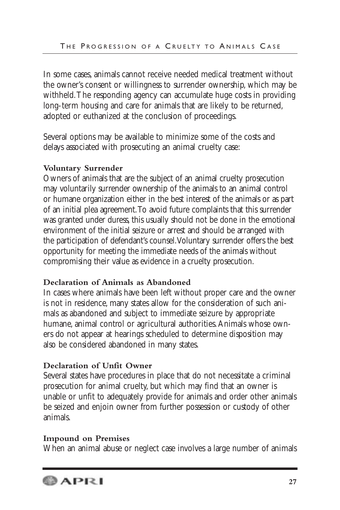In some cases, animals cannot receive needed medical treatment without the owner's consent or willingness to surrender ownership, which may be withheld.The responding agency can accumulate huge costs in providing long-term housing and care for animals that are likely to be returned, adopted or euthanized at the conclusion of proceedings.

Several options may be available to minimize some of the costs and delays associated with prosecuting an animal cruelty case:

## **Voluntary Surrender**

Owners of animals that are the subject of an animal cruelty prosecution may voluntarily surrender ownership of the animals to an animal control or humane organization either in the best interest of the animals or as part of an initial plea agreement.To avoid future complaints that this surrender was granted under duress, this usually should not be done in the emotional environment of the initial seizure or arrest and should be arranged with the participation of defendant's counsel.Voluntary surrender offers the best opportunity for meeting the immediate needs of the animals without compromising their value as evidence in a cruelty prosecution.

## **Declaration of Animals as Abandoned**

In cases where animals have been left without proper care and the owner is not in residence, many states allow for the consideration of such animals as abandoned and subject to immediate seizure by appropriate humane, animal control or agricultural authorities.Animals whose owners do not appear at hearings scheduled to determine disposition may also be considered abandoned in many states.

## **Declaration of Unfit Owner**

Several states have procedures in place that do not necessitate a criminal prosecution for animal cruelty, but which may find that an owner is unable or unfit to adequately provide for animals and order other animals be seized and enjoin owner from further possession or custody of other animals.

## **Impound on Premises**

When an animal abuse or neglect case involves a large number of animals

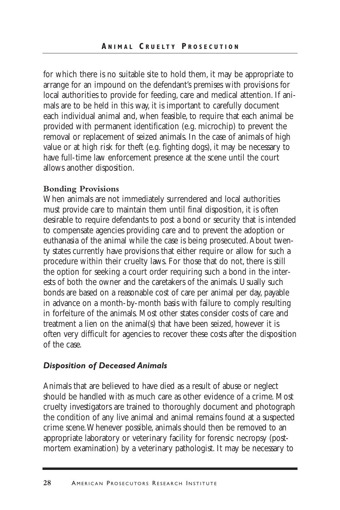for which there is no suitable site to hold them, it may be appropriate to arrange for an impound on the defendant's premises with provisions for local authorities to provide for feeding, care and medical attention. If animals are to be held in this way, it is important to carefully document each individual animal and, when feasible, to require that each animal be provided with permanent identification (e.g. microchip) to prevent the removal or replacement of seized animals. In the case of animals of high value or at high risk for theft (e.g. fighting dogs), it may be necessary to have full-time law enforcement presence at the scene until the court allows another disposition.

#### **Bonding Provisions**

When animals are not immediately surrendered and local authorities must provide care to maintain them until final disposition, it is often desirable to require defendants to post a bond or security that is intended to compensate agencies providing care and to prevent the adoption or euthanasia of the animal while the case is being prosecuted.About twenty states currently have provisions that either require or allow for such a procedure within their cruelty laws. For those that do not, there is still the option for seeking a court order requiring such a bond in the interests of both the owner and the caretakers of the animals. Usually such bonds are based on a reasonable cost of care per animal per day, payable in advance on a month-by-month basis with failure to comply resulting in forfeiture of the animals. Most other states consider costs of care and treatment a lien on the animal(s) that have been seized, however it is often very difficult for agencies to recover these costs after the disposition of the case.

#### *Disposition of Deceased Animals*

Animals that are believed to have died as a result of abuse or neglect should be handled with as much care as other evidence of a crime. Most cruelty investigators are trained to thoroughly document and photograph the condition of any live animal and animal remains found at a suspected crime scene.Whenever possible, animals should then be removed to an appropriate laboratory or veterinary facility for forensic necropsy (postmortem examination) by a veterinary pathologist. It may be necessary to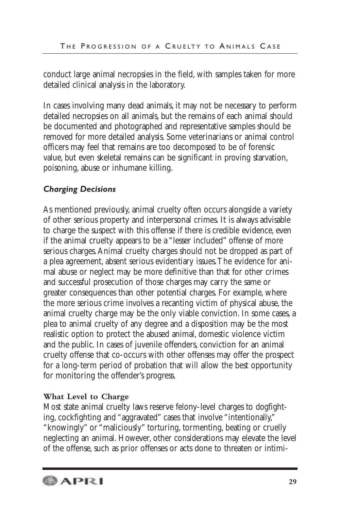conduct large animal necropsies in the field, with samples taken for more detailed clinical analysis in the laboratory.

In cases involving many dead animals, it may not be necessary to perform detailed necropsies on all animals, but the remains of each animal should be documented and photographed and representative samples should be removed for more detailed analysis. Some veterinarians or animal control officers may feel that remains are too decomposed to be of forensic value, but even skeletal remains can be significant in proving starvation, poisoning, abuse or inhumane killing.

## *Charging Decisions*

As mentioned previously, animal cruelty often occurs alongside a variety of other serious property and interpersonal crimes. It is always advisable to charge the suspect with this offense if there is credible evidence, even if the animal cruelty appears to be a "lesser included" offense of more serious charges.Animal cruelty charges should not be dropped as part of a plea agreement, absent serious evidentiary issues.The evidence for animal abuse or neglect may be more definitive than that for other crimes and successful prosecution of those charges may carry the same or greater consequences than other potential charges. For example, where the more serious crime involves a recanting victim of physical abuse, the animal cruelty charge may be the only viable conviction. In some cases, a plea to animal cruelty of any degree and a disposition may be the most realistic option to protect the abused animal, domestic violence victim and the public. In cases of juvenile offenders, conviction for an animal cruelty offense that co-occurs with other offenses may offer the prospect for a long-term period of probation that will allow the best opportunity for monitoring the offender's progress.

## **What Level to Charge**

Most state animal cruelty laws reserve felony-level charges to dogfighting, cockfighting and "aggravated" cases that involve "intentionally," "knowingly" or "maliciously" torturing, tormenting, beating or cruelly neglecting an animal. However, other considerations may elevate the level of the offense, such as prior offenses or acts done to threaten or intimi-

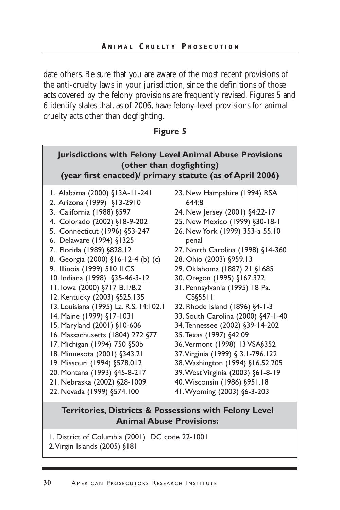date others. Be sure that you are aware of the most recent provisions of the anti-cruelty laws in your jurisdiction, since the definitions of those acts covered by the felony provisions are frequently revised. Figures 5 and 6 identify states that, as of 2006, have felony-level provisions for animal cruelty acts other than dogfighting.

### **Figure 5**

| <b>Jurisdictions with Felony Level Animal Abuse Provisions</b><br>(other than dogfighting)<br>(year first enacted)/ primary statute (as of April 2006) |                                    |  |  |  |
|--------------------------------------------------------------------------------------------------------------------------------------------------------|------------------------------------|--|--|--|
| I. Alabama (2000) §13A-11-241                                                                                                                          | 23. New Hampshire (1994) RSA       |  |  |  |
| 2. Arizona (1999) §13-2910                                                                                                                             | 644:8                              |  |  |  |
| 3. California (1988) §597                                                                                                                              | 24. New Jersey (2001) §4:22-17     |  |  |  |
| 4. Colorado (2002) §18-9-202                                                                                                                           | 25. New Mexico (1999) §30-18-1     |  |  |  |
| 5. Connecticut (1996) §53-247                                                                                                                          | 26. New York (1999) 353-a 55.10    |  |  |  |
| 6. Delaware (1994) §1325                                                                                                                               | penal                              |  |  |  |
| 7. Florida (1989) §828.12                                                                                                                              | 27. North Carolina (1998) §14-360  |  |  |  |
| 8. Georgia (2000) §16-12-4 (b) (c)                                                                                                                     | 28. Ohio (2003) §959.13            |  |  |  |
| 9. Illinois (1999) 510 ILCS                                                                                                                            | 29. Oklahoma (1887) 21 §1685       |  |  |  |
| 10. Indiana (1998) §35-46-3-12                                                                                                                         | 30. Oregon (1995) §167.322         |  |  |  |
| 11. lowa (2000) §717 B.1/B.2                                                                                                                           | 31. Pennsylvania (1995) 18 Pa.     |  |  |  |
| 12. Kentucky (2003) §525.135                                                                                                                           | CS§5511                            |  |  |  |
| 13. Louisiana (1995) La. R.S. 14:102.1                                                                                                                 | 32. Rhode Island (1896) §4-1-3     |  |  |  |
| 14. Maine (1999) §17-1031                                                                                                                              | 33. South Carolina (2000) §47-1-40 |  |  |  |
| 15. Maryland (2001) §10-606                                                                                                                            | 34. Tennessee (2002) §39-14-202    |  |  |  |
| 16. Massachusetts (1804) 272 §77                                                                                                                       | 35. Texas (1997) §42.09            |  |  |  |
| 17. Michigan (1994) 750 §50b                                                                                                                           | 36. Vermont (1998) 13 VSA§352      |  |  |  |
| 18. Minnesota (2001) §343.21                                                                                                                           | 37. Virginia (1999) § 3.1-796.122  |  |  |  |
| 19. Missouri (1994) §578.012                                                                                                                           | 38. Washington (1994) §16.52.205   |  |  |  |
| 20. Montana (1993) §45-8-217                                                                                                                           | 39. West Virginia (2003) §61-8-19  |  |  |  |
| 21. Nebraska (2002) §28-1009                                                                                                                           | 40. Wisconsin (1986) §951.18       |  |  |  |
| 22. Nevada (1999) §574.100                                                                                                                             | 41. Wyoming (2003) §6-3-203        |  |  |  |

## **Territories, Districts & Possessions with Felony Level Animal Abuse Provisions:**

1. District of Columbia (2001) DC code 22-1001 2.Virgin Islands (2005) §181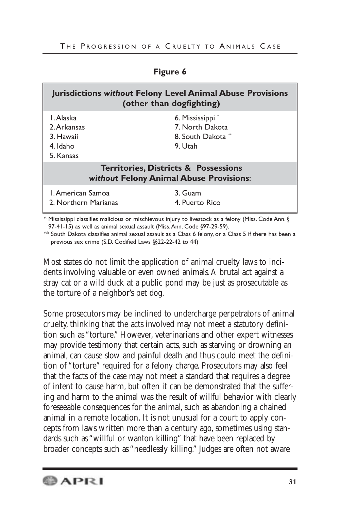| <b>Jurisdictions without Felony Level Animal Abuse Provisions</b><br>(other than dogfighting)     |                                                                     |  |  |  |
|---------------------------------------------------------------------------------------------------|---------------------------------------------------------------------|--|--|--|
| L. Alaska<br>2. Arkansas<br>3. Hawaii<br>4. Idaho<br>5. Kansas                                    | 6. Mississippi *<br>7. North Dakota<br>8. South Dakota *<br>9. Utah |  |  |  |
| <b>Territories, Districts &amp; Possessions</b><br><b>without Felony Animal Abuse Provisions:</b> |                                                                     |  |  |  |
| L. American Samoa<br>2. Northern Marianas                                                         | 3. Guam<br>4 Puerto Rico                                            |  |  |  |

**Figure 6**

\* Mississippi classifies malicious or mischievous injury to livestock as a felony (Miss. Code Ann. § 97-41-15) as well as animal sexual assault (Miss.Ann. Code §97-29-59).

\*\* South Dakota classifies animal sexual assault as a Class 6 felony, or a Class 5 if there has been a previous sex crime (S.D. Codified Laws §§22-22-42 to 44)

Most states do not limit the application of animal cruelty laws to incidents involving valuable or even owned animals.A brutal act against a stray cat or a wild duck at a public pond may be just as prosecutable as the torture of a neighbor's pet dog.

Some prosecutors may be inclined to undercharge perpetrators of animal cruelty, thinking that the acts involved may not meet a statutory definition such as "torture." However, veterinarians and other expert witnesses may provide testimony that certain acts, such as starving or drowning an animal, can cause slow and painful death and thus could meet the definition of "torture" required for a felony charge. Prosecutors may also feel that the facts of the case may not meet a standard that requires a degree of intent to cause harm, but often it can be demonstrated that the suffering and harm to the animal was the result of willful behavior with clearly foreseeable consequences for the animal, such as abandoning a chained animal in a remote location. It is not unusual for a court to apply concepts from laws written more than a century ago, sometimes using standards such as "willful or wanton killing" that have been replaced by broader concepts such as "needlessly killing." Judges are often not aware

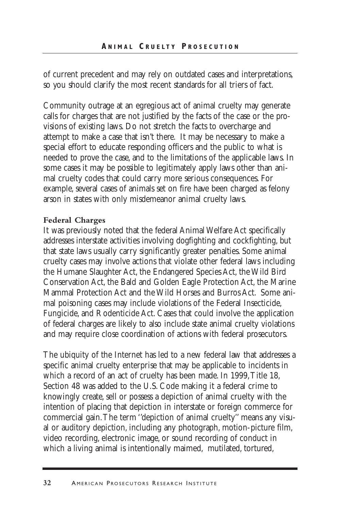of current precedent and may rely on outdated cases and interpretations, so you should clarify the most recent standards for all triers of fact.

Community outrage at an egregious act of animal cruelty may generate calls for charges that are not justified by the facts of the case or the provisions of existing laws. Do not stretch the facts to overcharge and attempt to make a case that isn't there. It may be necessary to make a special effort to educate responding officers and the public to what is needed to prove the case, and to the limitations of the applicable laws. In some cases it may be possible to legitimately apply laws other than animal cruelty codes that could carry more serious consequences. For example, several cases of animals set on fire have been charged as felony arson in states with only misdemeanor animal cruelty laws.

#### **Federal Charges**

It was previously noted that the federal Animal Welfare Act specifically addresses interstate activities involving dogfighting and cockfighting, but that state laws usually carry significantly greater penalties. Some animal cruelty cases may involve actions that violate other federal laws including the Humane Slaughter Act, the Endangered Species Act, the Wild Bird Conservation Act, the Bald and Golden Eagle Protection Act, the Marine Mammal Protection Act and the Wild Horses and Burros Act. Some animal poisoning cases may include violations of the Federal Insecticide, Fungicide, and Rodenticide Act. Cases that could involve the application of federal charges are likely to also include state animal cruelty violations and may require close coordination of actions with federal prosecutors.

The ubiquity of the Internet has led to a new federal law that addresses a specific animal cruelty enterprise that may be applicable to incidents in which a record of an act of cruelty has been made. In 1999,Title 18, Section 48 was added to the U.S. Code making it a federal crime to knowingly create, sell or possess a depiction of animal cruelty with the intention of placing that depiction in interstate or foreign commerce for commercial gain.The term ''depiction of animal cruelty'' means any visual or auditory depiction, including any photograph, motion-picture film, video recording, electronic image, or sound recording of conduct in which a living animal is intentionally maimed, mutilated, tortured,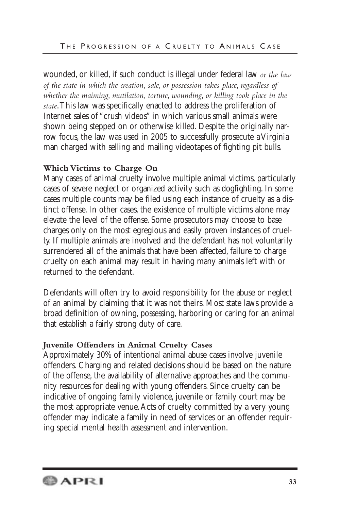wounded, or killed, if such conduct is illegal under federal law *or the law of the state in which the creation, sale, or possession takes place, regardless of whether the maiming, mutilation, torture, wounding, or killing took place in the state*.This law was specifically enacted to address the proliferation of Internet sales of "crush videos" in which various small animals were shown being stepped on or otherwise killed. Despite the originally narrow focus, the law was used in 2005 to successfully prosecute a Virginia man charged with selling and mailing videotapes of fighting pit bulls.

## **Which Victims to Charge On**

Many cases of animal cruelty involve multiple animal victims, particularly cases of severe neglect or organized activity such as dogfighting. In some cases multiple counts may be filed using each instance of cruelty as a distinct offense. In other cases, the existence of multiple victims alone may elevate the level of the offense. Some prosecutors may choose to base charges only on the most egregious and easily proven instances of cruelty. If multiple animals are involved and the defendant has not voluntarily surrendered all of the animals that have been affected, failure to charge cruelty on each animal may result in having many animals left with or returned to the defendant.

Defendants will often try to avoid responsibility for the abuse or neglect of an animal by claiming that it was not theirs. Most state laws provide a broad definition of owning, possessing, harboring or caring for an animal that establish a fairly strong duty of care.

## **Juvenile Offenders in Animal Cruelty Cases**

Approximately 30% of intentional animal abuse cases involve juvenile offenders. Charging and related decisions should be based on the nature of the offense, the availability of alternative approaches and the community resources for dealing with young offenders. Since cruelty can be indicative of ongoing family violence, juvenile or family court may be the most appropriate venue.Acts of cruelty committed by a very young offender may indicate a family in need of services or an offender requiring special mental health assessment and intervention.

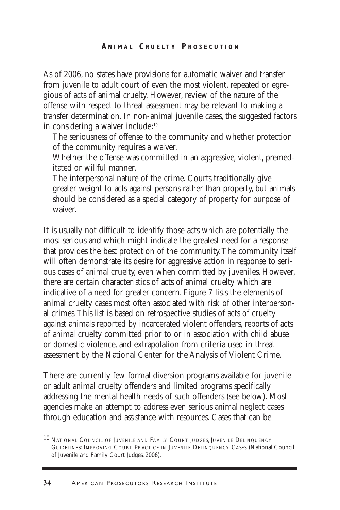As of 2006, no states have provisions for automatic waiver and transfer from juvenile to adult court of even the most violent, repeated or egregious of acts of animal cruelty. However, review of the nature of the offense with respect to threat assessment may be relevant to making a transfer determination. In non-animal juvenile cases, the suggested factors in considering a waiver include:10

The seriousness of offense to the community and whether protection of the community requires a waiver.

Whether the offense was committed in an aggressive, violent, premeditated or willful manner.

The interpersonal nature of the crime. Courts traditionally give greater weight to acts against persons rather than property, but animals should be considered as a special category of property for purpose of waiver.

It is usually not difficult to identify those acts which are potentially the most serious and which might indicate the greatest need for a response that provides the best protection of the community.The community itself will often demonstrate its desire for aggressive action in response to serious cases of animal cruelty, even when committed by juveniles. However, there are certain characteristics of acts of animal cruelty which are indicative of a need for greater concern. Figure 7 lists the elements of animal cruelty cases most often associated with risk of other interpersonal crimes.This list is based on retrospective studies of acts of cruelty against animals reported by incarcerated violent offenders, reports of acts of animal cruelty committed prior to or in association with child abuse or domestic violence, and extrapolation from criteria used in threat assessment by the National Center for the Analysis of Violent Crime.

There are currently few formal diversion programs available for juvenile or adult animal cruelty offenders and limited programs specifically addressing the mental health needs of such offenders (see below). Most agencies make an attempt to address even serious animal neglect cases through education and assistance with resources. Cases that can be

<sup>10</sup> NATIONAL COUNCIL OF JUVENILE AND FAMILY COURT JUDGES, JUVENILE DELINQUENCY GUIDELINES: IMPROVING COURT PRACTICE IN JUVENILE DELINQUENCY CASES (National Council of Juvenile and Family Court Judges, 2006).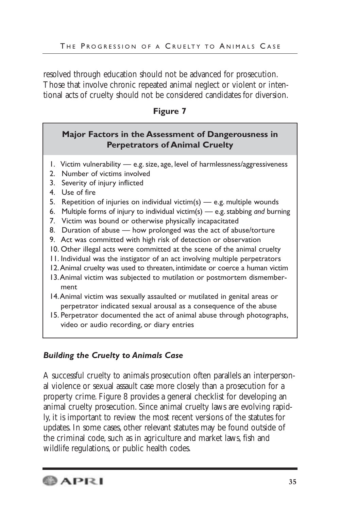resolved through education should not be advanced for prosecution. Those that involve chronic repeated animal neglect or violent or intentional acts of cruelty should not be considered candidates for diversion.

## **Figure 7**

## **Major Factors in the Assessment of Dangerousness in Perpetrators of Animal Cruelty**

- 1. Victim vulnerability e.g. size, age, level of harmlessness/aggressiveness
- 2. Number of victims involved
- 3. Severity of injury inflicted
- 4. Use of fire
- 5. Repetition of injuries on individual victim(s)  $-$  e.g. multiple wounds
- 6. Multiple forms of injury to individual victim(s) e.g. stabbing *and* burning
- 7. Victim was bound or otherwise physically incapacitated
- 8. Duration of abuse how prolonged was the act of abuse/torture
- 9. Act was committed with high risk of detection or observation
- 10. Other illegal acts were committed at the scene of the animal cruelty
- 11. Individual was the instigator of an act involving multiple perpetrators
- 12.Animal cruelty was used to threaten, intimidate or coerce a human victim
- 13.Animal victim was subjected to mutilation or postmortem dismemberment
- 14.Animal victim was sexually assaulted or mutilated in genital areas or perpetrator indicated sexual arousal as a consequence of the abuse
- 15. Perpetrator documented the act of animal abuse through photographs, video or audio recording, or diary entries

## *Building the Cruelty to Animals Case*

A successful cruelty to animals prosecution often parallels an interpersonal violence or sexual assault case more closely than a prosecution for a property crime. Figure 8 provides a general checklist for developing an animal cruelty prosecution. Since animal cruelty laws are evolving rapidly, it is important to review the most recent versions of the statutes for updates. In some cases, other relevant statutes may be found outside of the criminal code, such as in agriculture and market laws, fish and wildlife regulations, or public health codes.

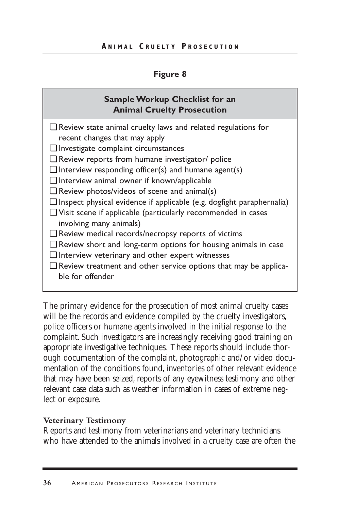#### **Figure 8**

## **Sample Workup Checklist for an Animal Cruelty Prosecution**

- ❑ Review state animal cruelty laws and related regulations for recent changes that may apply
- ❑ Investigate complaint circumstances
- ❑ Review reports from humane investigator/ police
- $\Box$  Interview responding officer(s) and humane agent(s)
- ❑ Interview animal owner if known/applicable
- $\Box$  Review photos/videos of scene and animal(s)
- ❑ Inspect physical evidence if applicable (e.g. dogfight paraphernalia)
- ❑ Visit scene if applicable (particularly recommended in cases involving many animals)
- ❑ Review medical records/necropsy reports of victims
- ❑ Review short and long-term options for housing animals in case
- ❑ Interview veterinary and other expert witnesses
- ❑ Review treatment and other service options that may be applicable for offender

The primary evidence for the prosecution of most animal cruelty cases will be the records and evidence compiled by the cruelty investigators, police officers or humane agents involved in the initial response to the complaint. Such investigators are increasingly receiving good training on appropriate investigative techniques. These reports should include thorough documentation of the complaint, photographic and/or video documentation of the conditions found, inventories of other relevant evidence that may have been seized, reports of any eyewitness testimony and other relevant case data such as weather information in cases of extreme neglect or exposure.

#### **Veterinary Testimony**

Reports and testimony from veterinarians and veterinary technicians who have attended to the animals involved in a cruelty case are often the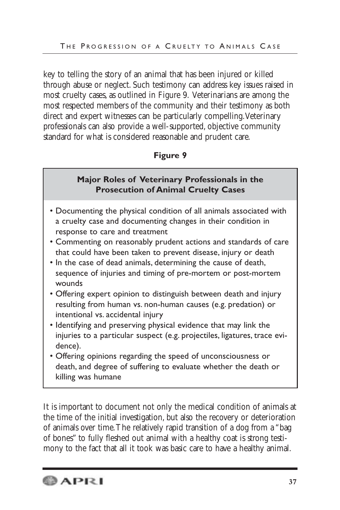key to telling the story of an animal that has been injured or killed through abuse or neglect. Such testimony can address key issues raised in most cruelty cases, as outlined in Figure 9. Veterinarians are among the most respected members of the community and their testimony as both direct and expert witnesses can be particularly compelling.Veterinary professionals can also provide a well-supported, objective community standard for what is considered reasonable and prudent care.

## **Figure 9**

## **Major Roles of Veterinary Professionals in the Prosecution of Animal Cruelty Cases**

- Documenting the physical condition of all animals associated with a cruelty case and documenting changes in their condition in response to care and treatment
- Commenting on reasonably prudent actions and standards of care that could have been taken to prevent disease, injury or death
- In the case of dead animals, determining the cause of death, sequence of injuries and timing of pre-mortem or post-mortem wounds
- Offering expert opinion to distinguish between death and injury resulting from human vs. non-human causes (e.g. predation) or intentional vs. accidental injury
- Identifying and preserving physical evidence that may link the injuries to a particular suspect (e.g. projectiles, ligatures, trace evidence).
- Offering opinions regarding the speed of unconsciousness or death, and degree of suffering to evaluate whether the death or killing was humane

It is important to document not only the medical condition of animals at the time of the initial investigation, but also the recovery or deterioration of animals over time.The relatively rapid transition of a dog from a "bag of bones" to fully fleshed out animal with a healthy coat is strong testimony to the fact that all it took was basic care to have a healthy animal.

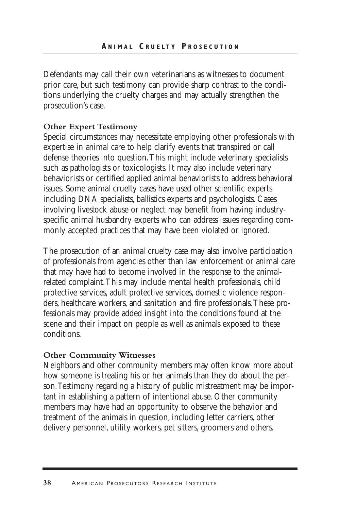Defendants may call their own veterinarians as witnesses to document prior care, but such testimony can provide sharp contrast to the conditions underlying the cruelty charges and may actually strengthen the prosecution's case.

#### **Other Expert Testimony**

Special circumstances may necessitate employing other professionals with expertise in animal care to help clarify events that transpired or call defense theories into question.This might include veterinary specialists such as pathologists or toxicologists. It may also include veterinary behaviorists or certified applied animal behaviorists to address behavioral issues. Some animal cruelty cases have used other scientific experts including DNA specialists, ballistics experts and psychologists. Cases involving livestock abuse or neglect may benefit from having industryspecific animal husbandry experts who can address issues regarding commonly accepted practices that may have been violated or ignored.

The prosecution of an animal cruelty case may also involve participation of professionals from agencies other than law enforcement or animal care that may have had to become involved in the response to the animalrelated complaint.This may include mental health professionals, child protective services, adult protective services, domestic violence responders, healthcare workers, and sanitation and fire professionals.These professionals may provide added insight into the conditions found at the scene and their impact on people as well as animals exposed to these conditions.

#### **Other Community Witnesses**

Neighbors and other community members may often know more about how someone is treating his or her animals than they do about the person.Testimony regarding a history of public mistreatment may be important in establishing a pattern of intentional abuse. Other community members may have had an opportunity to observe the behavior and treatment of the animals in question, including letter carriers, other delivery personnel, utility workers, pet sitters, groomers and others.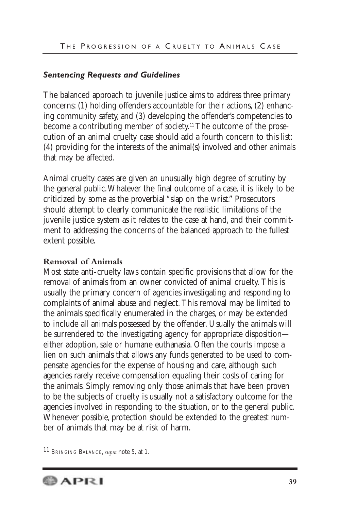#### *Sentencing Requests and Guidelines*

The balanced approach to juvenile justice aims to address three primary concerns: (1) holding offenders accountable for their actions, (2) enhancing community safety, and (3) developing the offender's competencies to become a contributing member of society.11 The outcome of the prosecution of an animal cruelty case should add a fourth concern to this list: (4) providing for the interests of the animal(s) involved and other animals that may be affected.

Animal cruelty cases are given an unusually high degree of scrutiny by the general public.Whatever the final outcome of a case, it is likely to be criticized by some as the proverbial "slap on the wrist." Prosecutors should attempt to clearly communicate the realistic limitations of the juvenile justice system as it relates to the case at hand, and their commitment to addressing the concerns of the balanced approach to the fullest extent possible.

#### **Removal of Animals**

Most state anti-cruelty laws contain specific provisions that allow for the removal of animals from an owner convicted of animal cruelty. This is usually the primary concern of agencies investigating and responding to complaints of animal abuse and neglect. This removal may be limited to the animals specifically enumerated in the charges, or may be extended to include all animals possessed by the offender. Usually the animals will be surrendered to the investigating agency for appropriate disposition either adoption, sale or humane euthanasia. Often the courts impose a lien on such animals that allows any funds generated to be used to compensate agencies for the expense of housing and care, although such agencies rarely receive compensation equaling their costs of caring for the animals. Simply removing only those animals that have been proven to be the subjects of cruelty is usually not a satisfactory outcome for the agencies involved in responding to the situation, or to the general public. Whenever possible, protection should be extended to the greatest number of animals that may be at risk of harm.

11 BRINGING BALANCE, *supra* note 5, at 1.

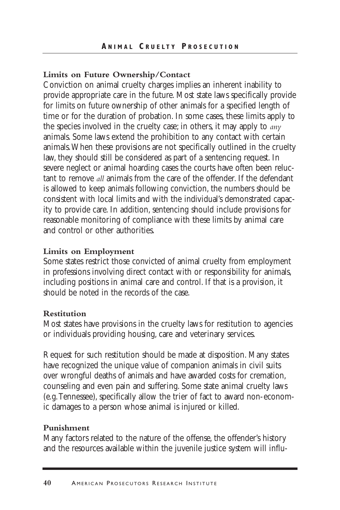#### **Limits on Future Ownership/Contact**

Conviction on animal cruelty charges implies an inherent inability to provide appropriate care in the future. Most state laws specifically provide for limits on future ownership of other animals for a specified length of time or for the duration of probation. In some cases, these limits apply to the species involved in the cruelty case; in others, it may apply to *any* animals. Some laws extend the prohibition to any contact with certain animals.When these provisions are not specifically outlined in the cruelty law, they should still be considered as part of a sentencing request. In severe neglect or animal hoarding cases the courts have often been reluctant to remove *all* animals from the care of the offender. If the defendant is allowed to keep animals following conviction, the numbers should be consistent with local limits and with the individual's demonstrated capacity to provide care. In addition, sentencing should include provisions for reasonable monitoring of compliance with these limits by animal care and control or other authorities.

#### **Limits on Employment**

Some states restrict those convicted of animal cruelty from employment in professions involving direct contact with or responsibility for animals, including positions in animal care and control. If that is a provision, it should be noted in the records of the case.

#### **Restitution**

Most states have provisions in the cruelty laws for restitution to agencies or individuals providing housing, care and veterinary services.

Request for such restitution should be made at disposition. Many states have recognized the unique value of companion animals in civil suits over wrongful deaths of animals and have awarded costs for cremation, counseling and even pain and suffering. Some state animal cruelty laws (e.g.Tennessee), specifically allow the trier of fact to award non-economic damages to a person whose animal is injured or killed.

#### **Punishment**

Many factors related to the nature of the offense, the offender's history and the resources available within the juvenile justice system will influ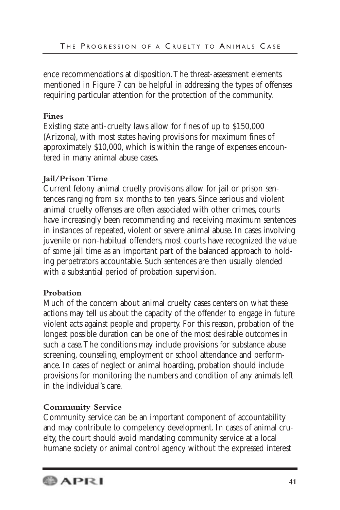ence recommendations at disposition.The threat-assessment elements mentioned in Figure 7 can be helpful in addressing the types of offenses requiring particular attention for the protection of the community.

## **Fines**

Existing state anti-cruelty laws allow for fines of up to \$150,000 (Arizona), with most states having provisions for maximum fines of approximately \$10,000, which is within the range of expenses encountered in many animal abuse cases.

## **Jail/Prison Time**

Current felony animal cruelty provisions allow for jail or prison sentences ranging from six months to ten years. Since serious and violent animal cruelty offenses are often associated with other crimes, courts have increasingly been recommending and receiving maximum sentences in instances of repeated, violent or severe animal abuse. In cases involving juvenile or non-habitual offenders, most courts have recognized the value of some jail time as an important part of the balanced approach to holding perpetrators accountable. Such sentences are then usually blended with a substantial period of probation supervision.

## **Probation**

Much of the concern about animal cruelty cases centers on what these actions may tell us about the capacity of the offender to engage in future violent acts against people and property. For this reason, probation of the longest possible duration can be one of the most desirable outcomes in such a case.The conditions may include provisions for substance abuse screening, counseling, employment or school attendance and performance. In cases of neglect or animal hoarding, probation should include provisions for monitoring the numbers and condition of any animals left in the individual's care.

## **Community Service**

Community service can be an important component of accountability and may contribute to competency development. In cases of animal cruelty, the court should avoid mandating community service at a local humane society or animal control agency without the expressed interest

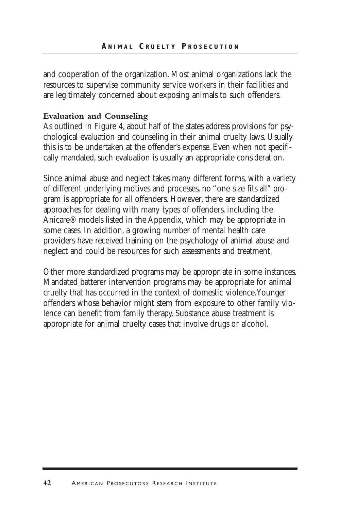and cooperation of the organization. Most animal organizations lack the resources to supervise community service workers in their facilities and are legitimately concerned about exposing animals to such offenders.

#### **Evaluation and Counseling**

As outlined in Figure 4, about half of the states address provisions for psychological evaluation and counseling in their animal cruelty laws. Usually this is to be undertaken at the offender's expense. Even when not specifically mandated, such evaluation is usually an appropriate consideration.

Since animal abuse and neglect takes many different forms, with a variety of different underlying motives and processes, no "one size fits all" program is appropriate for all offenders. However, there are standardized approaches for dealing with many types of offenders, including the Anicare® models listed in the Appendix, which may be appropriate in some cases. In addition, a growing number of mental health care providers have received training on the psychology of animal abuse and neglect and could be resources for such assessments and treatment.

Other more standardized programs may be appropriate in some instances. Mandated batterer intervention programs may be appropriate for animal cruelty that has occurred in the context of domestic violence.Younger offenders whose behavior might stem from exposure to other family violence can benefit from family therapy. Substance abuse treatment is appropriate for animal cruelty cases that involve drugs or alcohol.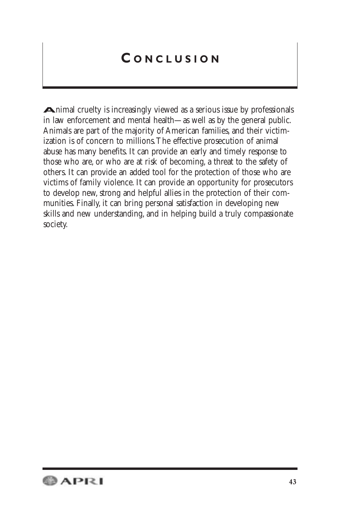## **C ONCLUSION**

**A**nimal cruelty is increasingly viewed as a serious issue by professionals in law enforcement and mental health—as well as by the general public. Animals are part of the majority of American families, and their victimization is of concern to millions.The effective prosecution of animal abuse has many benefits. It can provide an early and timely response to those who are, or who are at risk of becoming, a threat to the safety of others. It can provide an added tool for the protection of those who are victims of family violence. It can provide an opportunity for prosecutors to develop new, strong and helpful allies in the protection of their communities. Finally, it can bring personal satisfaction in developing new skills and new understanding, and in helping build a truly compassionate society.

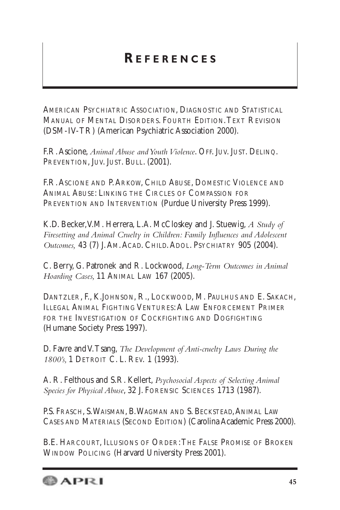## **R EFERENCES**

AMERICAN PSYCHIATRIC ASSOCIATION, DIAGNOSTIC AND STATISTICAL MANUAL OF MENTAL DISORDERS. FOURTH EDITION.TEXT REVISION (DSM-IV-TR) (American Psychiatric Association 2000).

F.R.Ascione, *Animal Abuse and Youth Violence*. OFF. JUV. JUST. DELINQ. PREVENTION, JUV. JUST. BULL. (2001).

F.R. ASCIONE AND P. ARKOW, CHILD ABUSE, DOMESTIC VIOLENCE AND ANIMAL ABUSE: LINKING THE CIRCLES OF COMPASSION FOR PREVENTION AND INTERVENTION (Purdue University Press 1999).

K.D. Becker,V.M. Herrera, L.A. McCloskey and J. Stuewig, *A Study of Firesetting and Animal Cruelty in Children: Family Influences and Adolescent Outcomes,* 43 (7) J.AM.ACAD. CHILD.ADOL. PSYCHIATRY 905 (2004).

C. Berry, G. Patronek and R. Lockwood, *Long-Term Outcomes in Animal Hoarding Cases,* 11 ANIMAL LAW 167 (2005).

DANTZLER, F., K.JOHNSON, R., LOCKWOOD, M. PAULHUS AND E. SAKACH, ILLEGAL ANIMAL FIGHTING VENTURES:A LAW ENFORCEMENT PRIMER FOR THE INVESTIGATION OF COCKFIGHTING AND DOGFIGHTING (Humane Society Press 1997).

D. Favre and V.Tsang, *The Development of Anti-cruelty Laws During the 1800's,* 1 DETROIT C. L. REV. 1 (1993).

A. R. Felthous and S.R. Kellert, *Psychosocial Aspects of Selecting Animal Species for Physical Abuse*, 32 J. FORENSIC SCIENCES 1713 (1987).

P.S. FRASCH, S. WAISMAN, B. WAGMAN AND S. BECKSTEAD, ANIMAL LAW CASES AND MATERIALS (SECOND EDITION) (Carolina Academic Press 2000).

B.E. HARCOURT, ILLUSIONS OF ORDER:THE FALSE PROMISE OF BROKEN WINDOW POLICING (Harvard University Press 2001).

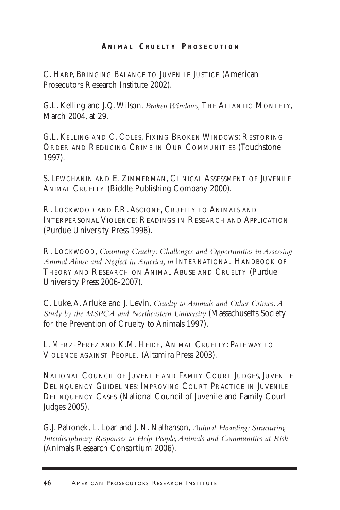C. HARP, BRINGING BALANCE TO JUVENILE JUSTICE (American Prosecutors Research Institute 2002).

G.L. Kelling and J.Q.Wilson, *Broken Windows,* THE ATLANTIC MONTHLY, March 2004, at 29.

G.L. KELLING AND C. COLES, FIXING BROKEN WINDOWS: RESTORING ORDER AND REDUCING CRIME IN OUR COMMUNITIES (Touchstone 1997).

S. LEWCHANIN AND E. ZIMMERMAN, CLINICAL ASSESSMENT OF JUVENILE ANIMAL CRUELTY (Biddle Publishing Company 2000).

R. LOCKWOOD AND F.R.ASCIONE, CRUELTY TO ANIMALS AND INTERPERSONAL VIOLENCE: READINGS IN RESEARCH AND APPLICATION (Purdue University Press 1998).

R. LOCKWOOD, *Counting Cruelty: Challenges and Opportunities in Assessing Animal Abuse and Neglect in America, in* INTERNATIONAL HANDBOOK OF THEORY AND RESEARCH ON ANIMAL ABUSE AND CRUELTY (Purdue University Press 2006-2007).

C. Luke,A.Arluke and J. Levin, *Cruelty to Animals and Other Crimes:A Study by the MSPCA and Northeastern University* (Massachusetts Society for the Prevention of Cruelty to Animals 1997).

L. MERZ-PEREZ AND K.M. HEIDE, ANIMAL CRUELTY: PATHWAY TO VIOLENCE AGAINST PEOPLE*.* (Altamira Press 2003).

NATIONAL COUNCIL OF JUVENILE AND FAMILY COURT JUDGES, JUVENILE DELINQUENCY GUIDELINES: IMPROVING COURT PRACTICE IN JUVENILE DELINQUENCY CASES (National Council of Juvenile and Family Court Judges 2005).

G.J. Patronek, L. Loar and J. N. Nathanson, *Animal Hoarding: Structuring Interdisciplinary Responses to Help People,Animals and Communities at Risk* (Animals Research Consortium 2006).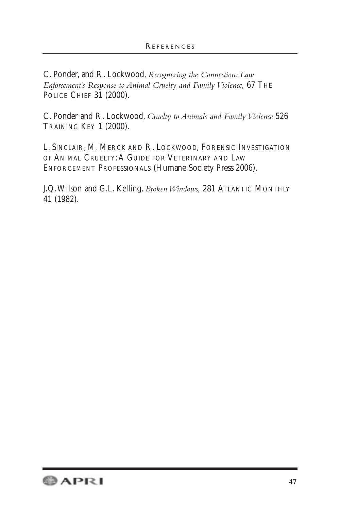C. Ponder, and R. Lockwood, *Recognizing the Connection: Law Enforcement's Response to Animal Cruelty and Family Violence,* 67 THE POLICE CHIEF 31 (2000).

C. Ponder and R. Lockwood, *Cruelty to Animals and Family Violence* 526 TRAINING KEY 1 (2000).

L. SINCLAIR, M. MERCK AND R. LOCKWOOD, FORENSIC INVESTIGATION OF ANIMAL CRUELTY: A GUIDE FOR VETERINARY AND LAW ENFORCEMENT PROFESSIONALS (Humane Society Press 2006).

J.Q.Wilson and G.L. Kelling, *Broken Windows,* 281 ATLANTIC MONTHLY 41 (1982).

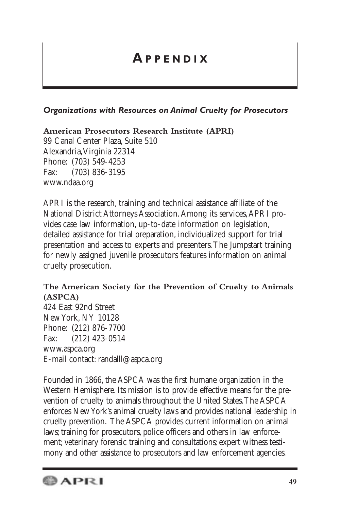## **A PPENDIX**

## *Organizations with Resources on Animal Cruelty for Prosecutors*

**American Prosecutors Research Institute (APRI)**

99 Canal Center Plaza, Suite 510 Alexandria,Virginia 22314 Phone: (703) 549-4253 Fax: (703) 836-3195 www.ndaa.org

APRI is the research, training and technical assistance affiliate of the National District Attorneys Association.Among its services,APRI provides case law information, up-to-date information on legislation, detailed assistance for trial preparation, individualized support for trial presentation and access to experts and presenters.The Jumpstart training for newly assigned juvenile prosecutors features information on animal cruelty prosecution.

## **The American Society for the Prevention of Cruelty to Animals (ASPCA)**

424 East 92nd Street New York, NY 10128 Phone: (212) 876-7700 Fax: (212) 423-0514 www.aspca.org E-mail contact: randalll@aspca.org

Founded in 1866, the ASPCA was the first humane organization in the Western Hemisphere. Its mission is to provide effective means for the prevention of cruelty to animals throughout the United States.The ASPCA enforces New York's animal cruelty laws and provides national leadership in cruelty prevention. The ASPCA provides current information on animal laws; training for prosecutors, police officers and others in law enforcement; veterinary forensic training and consultations; expert witness testimony and other assistance to prosecutors and law enforcement agencies.

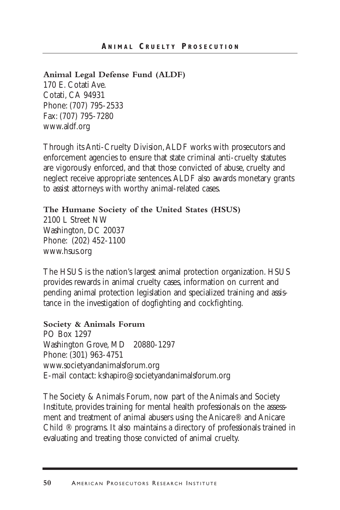#### **Animal Legal Defense Fund (ALDF)**

170 E. Cotati Ave. Cotati, CA 94931 Phone: (707) 795-2533 Fax: (707) 795-7280 www.aldf.org

Through its Anti-Cruelty Division,ALDF works with prosecutors and enforcement agencies to ensure that state criminal anti-cruelty statutes are vigorously enforced, and that those convicted of abuse, cruelty and neglect receive appropriate sentences.ALDF also awards monetary grants to assist attorneys with worthy animal-related cases.

#### **The Humane Society of the United States (HSUS)**

2100 L Street NW Washington, DC 20037 Phone: (202) 452-1100 www.hsus.org

The HSUS is the nation's largest animal protection organization. HSUS provides rewards in animal cruelty cases, information on current and pending animal protection legislation and specialized training and assistance in the investigation of dogfighting and cockfighting.

#### **Society & Animals Forum**

PO Box 1297 Washington Grove, MD 20880-1297 Phone: (301) 963-4751 www.societyandanimalsforum.org E-mail contact: kshapiro@societyandanimalsforum.org

The Society & Animals Forum, now part of the Animals and Society Institute, provides training for mental health professionals on the assessment and treatment of animal abusers using the Anicare® and Anicare Child ® programs. It also maintains a directory of professionals trained in evaluating and treating those convicted of animal cruelty.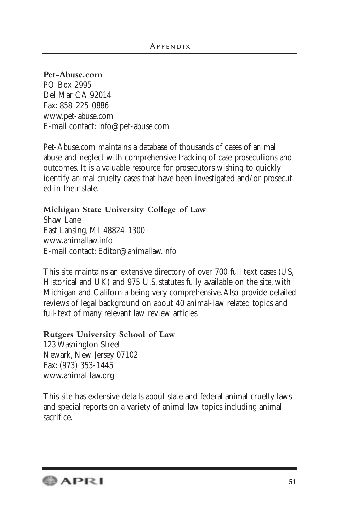#### **Pet-Abuse.com**

PO Box 2995 Del Mar CA 92014 Fax: 858-225-0886 www.pet-abuse.com E-mail contact: info@pet-abuse.com

Pet-Abuse.com maintains a database of thousands of cases of animal abuse and neglect with comprehensive tracking of case prosecutions and outcomes. It is a valuable resource for prosecutors wishing to quickly identify animal cruelty cases that have been investigated and/or prosecuted in their state.

#### **Michigan State University College of Law**

Shaw Lane East Lansing, MI 48824-1300 www.animallaw.info E-mail contact: Editor@animallaw.info

This site maintains an extensive directory of over 700 full text cases (US, Historical and UK) and 975 U.S. statutes fully available on the site, with Michigan and California being very comprehensive.Also provide detailed reviews of legal background on about 40 animal-law related topics and full-text of many relevant law review articles.

#### **Rutgers University School of Law**

123 Washington Street Newark, New Jersey 07102 Fax: (973) 353-1445 www.animal-law.org

This site has extensive details about state and federal animal cruelty laws and special reports on a variety of animal law topics including animal sacrifice.

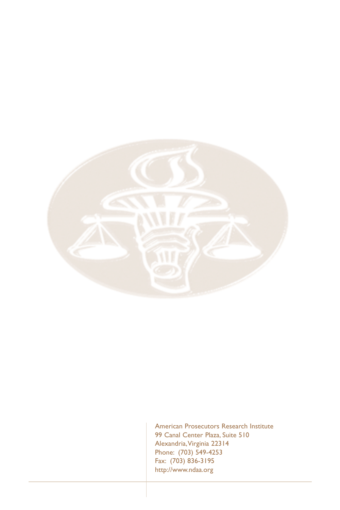

American Prosecutors Research Institute 99 Canal Center Plaza, Suite 510 Alexandria,Virginia 22314 Phone: (703) 549-4253 Fax: (703) 836-3195 http://www.ndaa.org